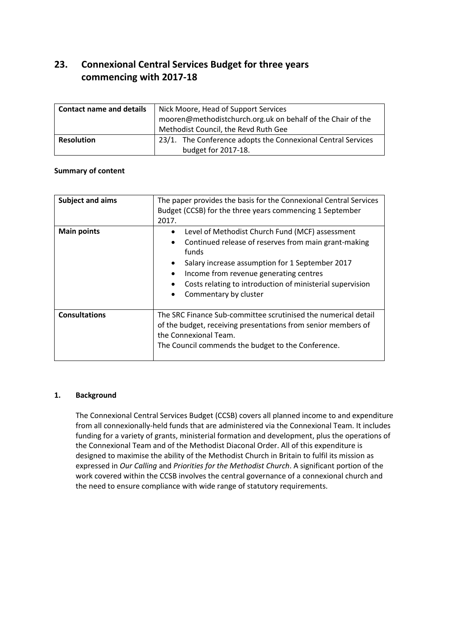# **23. Connexional Central Services Budget for three years commencing with 2017-18**

| <b>Contact name and details</b> | Nick Moore, Head of Support Services<br>mooren@methodistchurch.org.uk on behalf of the Chair of the<br>Methodist Council, the Revd Ruth Gee |
|---------------------------------|---------------------------------------------------------------------------------------------------------------------------------------------|
| <b>Resolution</b>               | 23/1. The Conference adopts the Connexional Central Services<br>budget for 2017-18.                                                         |

## **Summary of content**

| <b>Subject and aims</b> | The paper provides the basis for the Connexional Central Services<br>Budget (CCSB) for the three years commencing 1 September<br>2017.                                                                                                                                                              |
|-------------------------|-----------------------------------------------------------------------------------------------------------------------------------------------------------------------------------------------------------------------------------------------------------------------------------------------------|
| <b>Main points</b>      | Level of Methodist Church Fund (MCF) assessment<br>Continued release of reserves from main grant-making<br>funds<br>Salary increase assumption for 1 September 2017<br>Income from revenue generating centres<br>Costs relating to introduction of ministerial supervision<br>Commentary by cluster |
| <b>Consultations</b>    | The SRC Finance Sub-committee scrutinised the numerical detail<br>of the budget, receiving presentations from senior members of<br>the Connexional Team.<br>The Council commends the budget to the Conference.                                                                                      |

#### **1. Background**

The Connexional Central Services Budget (CCSB) covers all planned income to and expenditure from all connexionally-held funds that are administered via the Connexional Team. It includes funding for a variety of grants, ministerial formation and development, plus the operations of the Connexional Team and of the Methodist Diaconal Order. All of this expenditure is designed to maximise the ability of the Methodist Church in Britain to fulfil its mission as expressed in *Our Calling* and *Priorities for the Methodist Church*. A significant portion of the work covered within the CCSB involves the central governance of a connexional church and the need to ensure compliance with wide range of statutory requirements.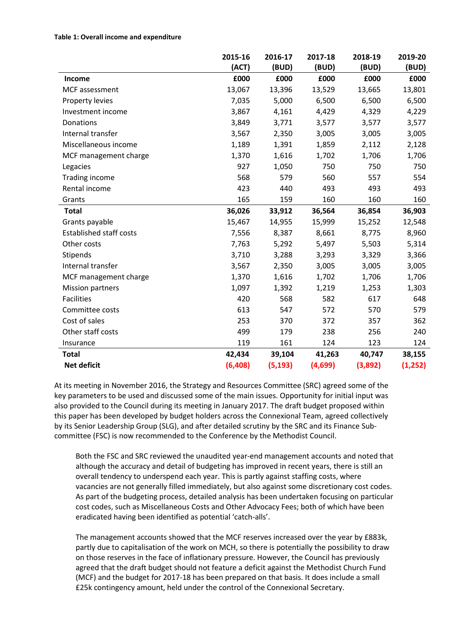#### **Table 1: Overall income and expenditure**

|                                | 2015-16 | 2016-17  | 2017-18 | 2018-19 | 2019-20  |
|--------------------------------|---------|----------|---------|---------|----------|
|                                | (ACT)   | (BUD)    | (BUD)   | (BUD)   | (BUD)    |
| Income                         | £000    | £000     | £000    | £000    | £000     |
| MCF assessment                 | 13,067  | 13,396   | 13,529  | 13,665  | 13,801   |
| Property levies                | 7,035   | 5,000    | 6,500   | 6,500   | 6,500    |
| Investment income              | 3,867   | 4,161    | 4,429   | 4,329   | 4,229    |
| Donations                      | 3,849   | 3,771    | 3,577   | 3,577   | 3,577    |
| Internal transfer              | 3,567   | 2,350    | 3,005   | 3,005   | 3,005    |
| Miscellaneous income           | 1,189   | 1,391    | 1,859   | 2,112   | 2,128    |
| MCF management charge          | 1,370   | 1,616    | 1,702   | 1,706   | 1,706    |
| Legacies                       | 927     | 1,050    | 750     | 750     | 750      |
| <b>Trading income</b>          | 568     | 579      | 560     | 557     | 554      |
| Rental income                  | 423     | 440      | 493     | 493     | 493      |
| Grants                         | 165     | 159      | 160     | 160     | 160      |
| <b>Total</b>                   | 36,026  | 33,912   | 36,564  | 36,854  | 36,903   |
| Grants payable                 | 15,467  | 14,955   | 15,999  | 15,252  | 12,548   |
| <b>Established staff costs</b> | 7,556   | 8,387    | 8,661   | 8,775   | 8,960    |
| Other costs                    | 7,763   | 5,292    | 5,497   | 5,503   | 5,314    |
| Stipends                       | 3,710   | 3,288    | 3,293   | 3,329   | 3,366    |
| Internal transfer              | 3,567   | 2,350    | 3,005   | 3,005   | 3,005    |
| MCF management charge          | 1,370   | 1,616    | 1,702   | 1,706   | 1,706    |
| <b>Mission partners</b>        | 1,097   | 1,392    | 1,219   | 1,253   | 1,303    |
| <b>Facilities</b>              | 420     | 568      | 582     | 617     | 648      |
| Committee costs                | 613     | 547      | 572     | 570     | 579      |
| Cost of sales                  | 253     | 370      | 372     | 357     | 362      |
| Other staff costs              | 499     | 179      | 238     | 256     | 240      |
| Insurance                      | 119     | 161      | 124     | 123     | 124      |
| <b>Total</b>                   | 42,434  | 39,104   | 41,263  | 40,747  | 38,155   |
| <b>Net deficit</b>             | (6,408) | (5, 193) | (4,699) | (3,892) | (1, 252) |

At its meeting in November 2016, the Strategy and Resources Committee (SRC) agreed some of the key parameters to be used and discussed some of the main issues. Opportunity for initial input was also provided to the Council during its meeting in January 2017. The draft budget proposed within this paper has been developed by budget holders across the Connexional Team, agreed collectively by its Senior Leadership Group (SLG), and after detailed scrutiny by the SRC and its Finance Subcommittee (FSC) is now recommended to the Conference by the Methodist Council.

Both the FSC and SRC reviewed the unaudited year-end management accounts and noted that although the accuracy and detail of budgeting has improved in recent years, there is still an overall tendency to underspend each year. This is partly against staffing costs, where vacancies are not generally filled immediately, but also against some discretionary cost codes. As part of the budgeting process, detailed analysis has been undertaken focusing on particular cost codes, such as Miscellaneous Costs and Other Advocacy Fees; both of which have been eradicated having been identified as potential 'catch-alls'.

The management accounts showed that the MCF reserves increased over the year by £883k, partly due to capitalisation of the work on MCH, so there is potentially the possibility to draw on those reserves in the face of inflationary pressure. However, the Council has previously agreed that the draft budget should not feature a deficit against the Methodist Church Fund (MCF) and the budget for 2017-18 has been prepared on that basis. It does include a small £25k contingency amount, held under the control of the Connexional Secretary.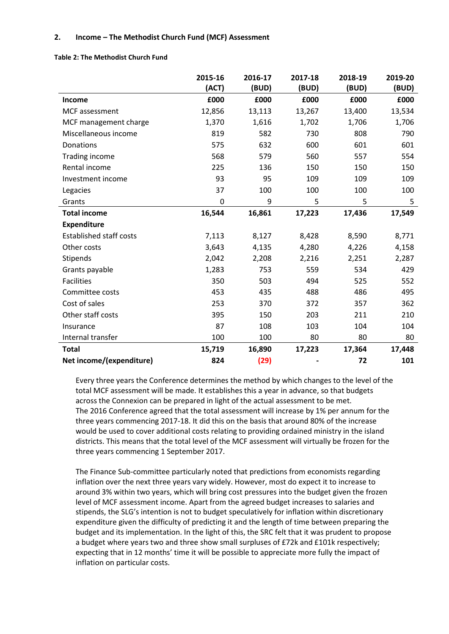## **2. Income** *–* **The Methodist Church Fund (MCF) Assessment**

|                                | 2015-16<br>(ACT) | 2016-17<br>(BUD) | 2017-18<br>(BUD) | 2018-19<br>(BUD) | 2019-20<br>(BUD) |
|--------------------------------|------------------|------------------|------------------|------------------|------------------|
| Income                         | £000             | £000             | £000             | £000             | £000             |
| MCF assessment                 | 12,856           | 13,113           | 13,267           | 13,400           | 13,534           |
| MCF management charge          | 1,370            | 1,616            | 1,702            | 1,706            | 1,706            |
| Miscellaneous income           | 819              | 582              | 730              | 808              | 790              |
| Donations                      | 575              | 632              | 600              | 601              | 601              |
| <b>Trading income</b>          | 568              | 579              | 560              | 557              | 554              |
| Rental income                  | 225              | 136              | 150              | 150              | 150              |
| Investment income              | 93               | 95               | 109              | 109              | 109              |
| Legacies                       | 37               | 100              | 100              | 100              | 100              |
| Grants                         | 0                | 9                | 5                | 5                | 5                |
| <b>Total income</b>            | 16,544           | 16,861           | 17,223           | 17,436           | 17,549           |
| <b>Expenditure</b>             |                  |                  |                  |                  |                  |
| <b>Established staff costs</b> | 7,113            | 8,127            | 8,428            | 8,590            | 8,771            |
| Other costs                    | 3,643            | 4,135            | 4,280            | 4,226            | 4,158            |
| Stipends                       | 2,042            | 2,208            | 2,216            | 2,251            | 2,287            |
| Grants payable                 | 1,283            | 753              | 559              | 534              | 429              |
| <b>Facilities</b>              | 350              | 503              | 494              | 525              | 552              |
| Committee costs                | 453              | 435              | 488              | 486              | 495              |
| Cost of sales                  | 253              | 370              | 372              | 357              | 362              |
| Other staff costs              | 395              | 150              | 203              | 211              | 210              |
| Insurance                      | 87               | 108              | 103              | 104              | 104              |
| Internal transfer              | 100              | 100              | 80               | 80               | 80               |
| <b>Total</b>                   | 15,719           | 16,890           | 17,223           | 17,364           | 17,448           |
| Net income/(expenditure)       | 824              | (29)             |                  | 72               | 101              |

**Table 2: The Methodist Church Fund**

Every three years the Conference determines the method by which changes to the level of the total MCF assessment will be made. It establishes this a year in advance, so that budgets across the Connexion can be prepared in light of the actual assessment to be met. The 2016 Conference agreed that the total assessment will increase by 1% per annum for the three years commencing 2017-18. It did this on the basis that around 80% of the increase would be used to cover additional costs relating to providing ordained ministry in the island districts. This means that the total level of the MCF assessment will virtually be frozen for the three years commencing 1 September 2017.

The Finance Sub-committee particularly noted that predictions from economists regarding inflation over the next three years vary widely. However, most do expect it to increase to around 3% within two years, which will bring cost pressures into the budget given the frozen level of MCF assessment income. Apart from the agreed budget increases to salaries and stipends, the SLG's intention is not to budget speculatively for inflation within discretionary expenditure given the difficulty of predicting it and the length of time between preparing the budget and its implementation. In the light of this, the SRC felt that it was prudent to propose a budget where years two and three show small surpluses of £72k and £101k respectively; expecting that in 12 months' time it will be possible to appreciate more fully the impact of inflation on particular costs.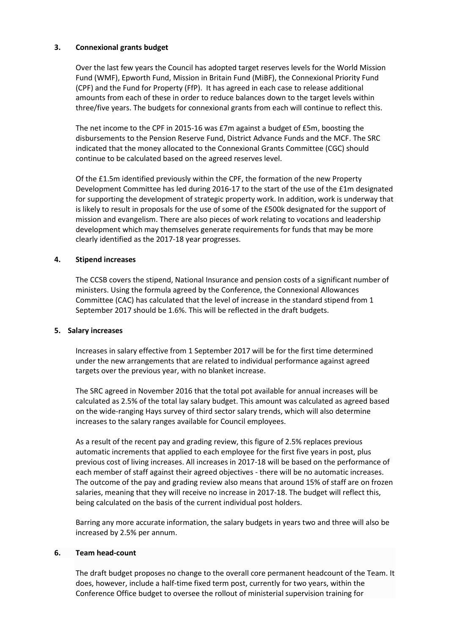## **3. Connexional grants budget**

Over the last few years the Council has adopted target reserves levels for the World Mission Fund (WMF), Epworth Fund, Mission in Britain Fund (MiBF), the Connexional Priority Fund (CPF) and the Fund for Property (FfP). It has agreed in each case to release additional amounts from each of these in order to reduce balances down to the target levels within three/five years. The budgets for connexional grants from each will continue to reflect this.

The net income to the CPF in 2015-16 was £7m against a budget of £5m, boosting the disbursements to the Pension Reserve Fund, District Advance Funds and the MCF. The SRC indicated that the money allocated to the Connexional Grants Committee (CGC) should continue to be calculated based on the agreed reserves level.

Of the £1.5m identified previously within the CPF, the formation of the new Property Development Committee has led during 2016-17 to the start of the use of the £1m designated for supporting the development of strategic property work. In addition, work is underway that is likely to result in proposals for the use of some of the £500k designated for the support of mission and evangelism. There are also pieces of work relating to vocations and leadership development which may themselves generate requirements for funds that may be more clearly identified as the 2017-18 year progresses.

## **4. Stipend increases**

The CCSB covers the stipend, National Insurance and pension costs of a significant number of ministers. Using the formula agreed by the Conference, the Connexional Allowances Committee (CAC) has calculated that the level of increase in the standard stipend from 1 September 2017 should be 1.6%. This will be reflected in the draft budgets.

#### **5. Salary increases**

Increases in salary effective from 1 September 2017 will be for the first time determined under the new arrangements that are related to individual performance against agreed targets over the previous year, with no blanket increase.

The SRC agreed in November 2016 that the total pot available for annual increases will be calculated as 2.5% of the total lay salary budget. This amount was calculated as agreed based on the wide-ranging Hays survey of third sector salary trends, which will also determine increases to the salary ranges available for Council employees.

As a result of the recent pay and grading review, this figure of 2.5% replaces previous automatic increments that applied to each employee for the first five years in post, plus previous cost of living increases. All increases in 2017-18 will be based on the performance of each member of staff against their agreed objectives - there will be no automatic increases. The outcome of the pay and grading review also means that around 15% of staff are on frozen salaries, meaning that they will receive no increase in 2017-18. The budget will reflect this, being calculated on the basis of the current individual post holders.

Barring any more accurate information, the salary budgets in years two and three will also be increased by 2.5% per annum.

#### **6. Team head-count**

The draft budget proposes no change to the overall core permanent headcount of the Team. It does, however, include a half-time fixed term post, currently for two years, within the Conference Office budget to oversee the rollout of ministerial supervision training for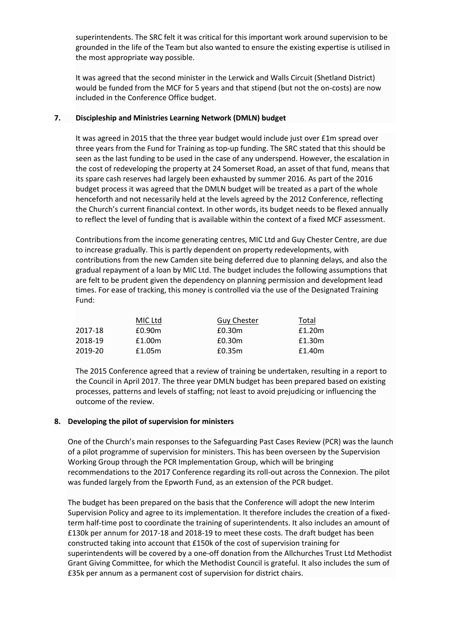superintendents. The SRC felt it was critical for this important work around supervision to be grounded in the life of the Team but also wanted to ensure the existing expertise is utilised in the most appropriate way possible.

It was agreed that the second minister in the Lerwick and Walls Circuit (Shetland District) would be funded from the MCF for 5 years and that stipend (but not the on-costs) are now included in the Conference Office budget.

## **7. Discipleship and Ministries Learning Network (DMLN) budget**

It was agreed in 2015 that the three year budget would include just over £1m spread over three years from the Fund for Training as top-up funding. The SRC stated that this should be seen as the last funding to be used in the case of any underspend. However, the escalation in the cost of redeveloping the property at 24 Somerset Road, an asset of that fund, means that its spare cash reserves had largely been exhausted by summer 2016. As part of the 2016 budget process it was agreed that the DMLN budget will be treated as a part of the whole henceforth and not necessarily held at the levels agreed by the 2012 Conference, reflecting the Church's current financial context. In other words, its budget needs to be flexed annually to reflect the level of funding that is available within the context of a fixed MCF assessment.

Contributions from the income generating centres, MIC Ltd and Guy Chester Centre, are due to increase gradually. This is partly dependent on property redevelopments, with contributions from the new Camden site being deferred due to planning delays, and also the gradual repayment of a loan by MIC Ltd. The budget includes the following assumptions that are felt to be prudent given the dependency on planning permission and development lead times. For ease of tracking, this money is controlled via the use of the Designated Training Fund:

|         | MIC Ltd | <b>Guy Chester</b> | Total  |
|---------|---------|--------------------|--------|
| 2017-18 | £0.90m  | £0.30m             | £1.20m |
| 2018-19 | £1.00m  | £0.30m             | £1.30m |
| 2019-20 | £1.05m  | £0.35m             | £1.40m |

The 2015 Conference agreed that a review of training be undertaken, resulting in a report to the Council in April 2017. The three year DMLN budget has been prepared based on existing processes, patterns and levels of staffing; not least to avoid prejudicing or influencing the outcome of the review.

#### **8. Developing the pilot of supervision for ministers**

One of the Church's main responses to the Safeguarding Past Cases Review (PCR) was the launch of a pilot programme of supervision for ministers. This has been overseen by the Supervision Working Group through the PCR Implementation Group, which will be bringing recommendations to the 2017 Conference regarding its roll-out across the Connexion. The pilot was funded largely from the Epworth Fund, as an extension of the PCR budget.

The budget has been prepared on the basis that the Conference will adopt the new Interim Supervision Policy and agree to its implementation. It therefore includes the creation of a fixedterm half-time post to coordinate the training of superintendents. It also includes an amount of £130k per annum for 2017-18 and 2018-19 to meet these costs. The draft budget has been constructed taking into account that £150k of the cost of supervision training for superintendents will be covered by a one-off donation from the Allchurches Trust Ltd Methodist Grant Giving Committee, for which the Methodist Council is grateful. It also includes the sum of £35k per annum as a permanent cost of supervision for district chairs.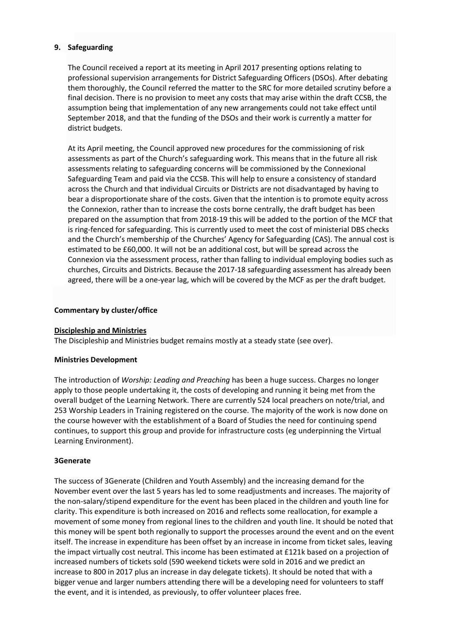## **9. Safeguarding**

The Council received a report at its meeting in April 2017 presenting options relating to professional supervision arrangements for District Safeguarding Officers (DSOs). After debating them thoroughly, the Council referred the matter to the SRC for more detailed scrutiny before a final decision. There is no provision to meet any costs that may arise within the draft CCSB, the assumption being that implementation of any new arrangements could not take effect until September 2018, and that the funding of the DSOs and their work is currently a matter for district budgets.

At its April meeting, the Council approved new procedures for the commissioning of risk assessments as part of the Church's safeguarding work. This means that in the future all risk assessments relating to safeguarding concerns will be commissioned by the Connexional Safeguarding Team and paid via the CCSB. This will help to ensure a consistency of standard across the Church and that individual Circuits or Districts are not disadvantaged by having to bear a disproportionate share of the costs. Given that the intention is to promote equity across the Connexion, rather than to increase the costs borne centrally, the draft budget has been prepared on the assumption that from 2018-19 this will be added to the portion of the MCF that is ring-fenced for safeguarding. This is currently used to meet the cost of ministerial DBS checks and the Church's membership of the Churches' Agency for Safeguarding (CAS). The annual cost is estimated to be £60,000. It will not be an additional cost, but will be spread across the Connexion via the assessment process, rather than falling to individual employing bodies such as churches, Circuits and Districts. Because the 2017-18 safeguarding assessment has already been agreed, there will be a one-year lag, which will be covered by the MCF as per the draft budget.

#### **Commentary by cluster/office**

#### **Discipleship and Ministries**

The Discipleship and Ministries budget remains mostly at a steady state (see over).

#### **Ministries Development**

The introduction of *Worship: Leading and Preaching* has been a huge success. Charges no longer apply to those people undertaking it, the costs of developing and running it being met from the overall budget of the Learning Network. There are currently 524 local preachers on note/trial, and 253 Worship Leaders in Training registered on the course. The majority of the work is now done on the course however with the establishment of a Board of Studies the need for continuing spend continues, to support this group and provide for infrastructure costs (eg underpinning the Virtual Learning Environment).

## **3Generate**

The success of 3Generate (Children and Youth Assembly) and the increasing demand for the November event over the last 5 years has led to some readjustments and increases. The majority of the non-salary/stipend expenditure for the event has been placed in the children and youth line for clarity. This expenditure is both increased on 2016 and reflects some reallocation, for example a movement of some money from regional lines to the children and youth line. It should be noted that this money will be spent both regionally to support the processes around the event and on the event itself. The increase in expenditure has been offset by an increase in income from ticket sales, leaving the impact virtually cost neutral. This income has been estimated at £121k based on a projection of increased numbers of tickets sold (590 weekend tickets were sold in 2016 and we predict an increase to 800 in 2017 plus an increase in day delegate tickets). It should be noted that with a bigger venue and larger numbers attending there will be a developing need for volunteers to staff the event, and it is intended, as previously, to offer volunteer places free.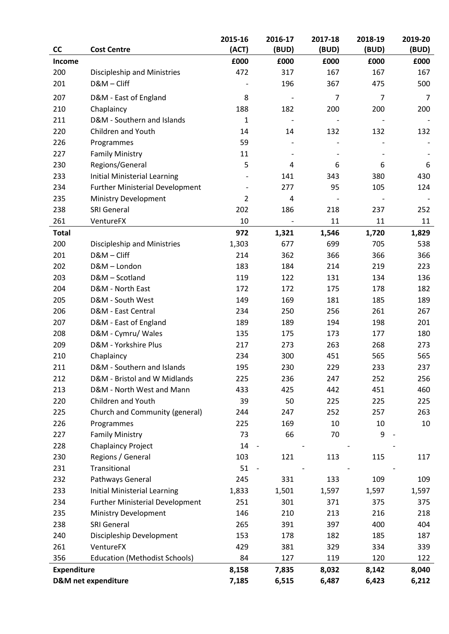|                    |                                        | 2015-16        | 2016-17                  | 2017-18        | 2018-19        | 2019-20        |
|--------------------|----------------------------------------|----------------|--------------------------|----------------|----------------|----------------|
| <b>CC</b>          | <b>Cost Centre</b>                     | (ACT)          | (BUD)                    | (BUD)          | (BUD)          | (BUD)          |
| Income             |                                        | £000           | £000                     | £000           | £000           | £000           |
| 200                | Discipleship and Ministries            | 472            | 317                      | 167            | 167            | 167            |
| 201                | D&M-Cliff                              |                | 196                      | 367            | 475            | 500            |
| 207                | D&M - East of England                  | 8              | $\overline{\phantom{a}}$ | $\overline{7}$ | $\overline{7}$ | $\overline{7}$ |
| 210                | Chaplaincy                             | 188            | 182                      | 200            | 200            | 200            |
| 211                | D&M - Southern and Islands             | $\mathbf{1}$   | $\overline{\phantom{a}}$ |                |                |                |
| 220                | Children and Youth                     | 14             | 14                       | 132            | 132            | 132            |
| 226                | Programmes                             | 59             |                          |                |                |                |
| 227                | <b>Family Ministry</b>                 | 11             |                          |                |                |                |
| 230                | Regions/General                        | 5              | 4                        | 6              | 6              | 6              |
| 233                | Initial Ministerial Learning           |                | 141                      | 343            | 380            | 430            |
| 234                | <b>Further Ministerial Development</b> |                | 277                      | 95             | 105            | 124            |
| 235                | Ministry Development                   | $\overline{2}$ | 4                        |                |                |                |
| 238                | <b>SRI General</b>                     | 202            | 186                      | 218            | 237            | 252            |
| 261                | VentureFX                              | 10             |                          | 11             | 11             | 11             |
| <b>Total</b>       |                                        | 972            | 1,321                    | 1,546          | 1,720          | 1,829          |
| 200                | Discipleship and Ministries            | 1,303          | 677                      | 699            | 705            | 538            |
| 201                | D&M-Cliff                              | 214            | 362                      | 366            | 366            | 366            |
| 202                | D&M-London                             | 183            | 184                      | 214            | 219            | 223            |
| 203                | D&M - Scotland                         | 119            | 122                      | 131            | 134            | 136            |
| 204                | D&M - North East                       | 172            | 172                      | 175            | 178            | 182            |
| 205                | D&M - South West                       | 149            | 169                      | 181            | 185            | 189            |
| 206                | D&M - East Central                     | 234            | 250                      | 256            | 261            | 267            |
| 207                | D&M - East of England                  | 189            | 189                      | 194            | 198            | 201            |
| 208                | D&M - Cymru/ Wales                     | 135            | 175                      | 173            | 177            | 180            |
| 209                | D&M - Yorkshire Plus                   | 217            | 273                      | 263            | 268            | 273            |
| 210                | Chaplaincy                             | 234            | 300                      | 451            | 565            | 565            |
| 211                | D&M - Southern and Islands             | 195            | 230                      | 229            | 233            | 237            |
| 212                | D&M - Bristol and W Midlands           | 225            | 236                      | 247            | 252            | 256            |
| 213                | D&M - North West and Mann              | 433            | 425                      | 442            | 451            | 460            |
| 220                | Children and Youth                     | 39             | 50                       | 225            | 225            | 225            |
| 225                | Church and Community (general)         | 244            | 247                      | 252            | 257            | 263            |
| 226                | Programmes                             | 225            | 169                      | 10             | 10             | 10             |
| 227                | <b>Family Ministry</b>                 | 73             | 66                       | 70             | 9              |                |
| 228                | <b>Chaplaincy Project</b>              | 14             | $\qquad \qquad -$        |                |                |                |
| 230                | Regions / General                      | 103            | 121                      | 113            | 115            | 117            |
| 231                | Transitional                           | 51             |                          |                |                |                |
| 232                | Pathways General                       | 245            | 331                      | 133            | 109            | 109            |
| 233                | <b>Initial Ministerial Learning</b>    | 1,833          | 1,501                    | 1,597          | 1,597          | 1,597          |
| 234                | <b>Further Ministerial Development</b> | 251            | 301                      | 371            | 375            | 375            |
| 235                | Ministry Development                   | 146            | 210                      | 213            | 216            | 218            |
| 238                | <b>SRI General</b>                     | 265            | 391                      | 397            | 400            | 404            |
| 240                | Discipleship Development               | 153            | 178                      | 182            | 185            | 187            |
| 261                | VentureFX                              | 429            | 381                      | 329            | 334            | 339            |
| 356                | <b>Education (Methodist Schools)</b>   | 84             | 127                      | 119            | 120            | 122            |
| <b>Expenditure</b> |                                        | 8,158          | 7,835                    | 8,032          | 8,142          | 8,040          |
|                    | <b>D&amp;M</b> net expenditure         | 7,185          | 6,515                    | 6,487          | 6,423          | 6,212          |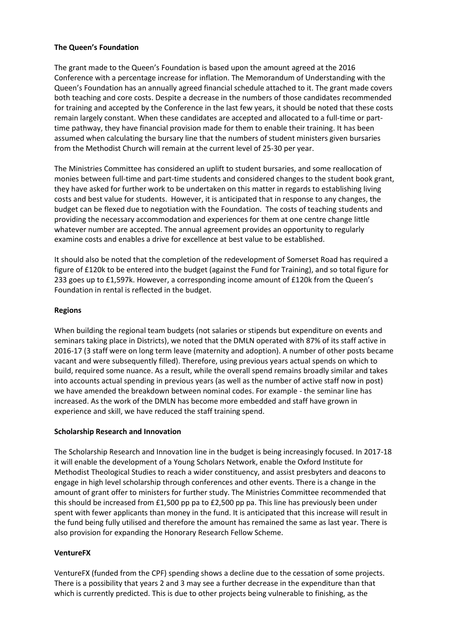## **The Queen's Foundation**

The grant made to the Queen's Foundation is based upon the amount agreed at the 2016 Conference with a percentage increase for inflation. The Memorandum of Understanding with the Queen's Foundation has an annually agreed financial schedule attached to it. The grant made covers both teaching and core costs. Despite a decrease in the numbers of those candidates recommended for training and accepted by the Conference in the last few years, it should be noted that these costs remain largely constant. When these candidates are accepted and allocated to a full-time or parttime pathway, they have financial provision made for them to enable their training. It has been assumed when calculating the bursary line that the numbers of student ministers given bursaries from the Methodist Church will remain at the current level of 25-30 per year.

The Ministries Committee has considered an uplift to student bursaries, and some reallocation of monies between full-time and part-time students and considered changes to the student book grant, they have asked for further work to be undertaken on this matter in regards to establishing living costs and best value for students. However, it is anticipated that in response to any changes, the budget can be flexed due to negotiation with the Foundation. The costs of teaching students and providing the necessary accommodation and experiences for them at one centre change little whatever number are accepted. The annual agreement provides an opportunity to regularly examine costs and enables a drive for excellence at best value to be established.

It should also be noted that the completion of the redevelopment of Somerset Road has required a figure of £120k to be entered into the budget (against the Fund for Training), and so total figure for 233 goes up to £1,597k. However, a corresponding income amount of £120k from the Queen's Foundation in rental is reflected in the budget.

## **Regions**

When building the regional team budgets (not salaries or stipends but expenditure on events and seminars taking place in Districts), we noted that the DMLN operated with 87% of its staff active in 2016-17 (3 staff were on long term leave (maternity and adoption). A number of other posts became vacant and were subsequently filled). Therefore, using previous years actual spends on which to build, required some nuance. As a result, while the overall spend remains broadly similar and takes into accounts actual spending in previous years (as well as the number of active staff now in post) we have amended the breakdown between nominal codes. For example - the seminar line has increased. As the work of the DMLN has become more embedded and staff have grown in experience and skill, we have reduced the staff training spend.

#### **Scholarship Research and Innovation**

The Scholarship Research and Innovation line in the budget is being increasingly focused. In 2017-18 it will enable the development of a Young Scholars Network, enable the Oxford Institute for Methodist Theological Studies to reach a wider constituency, and assist presbyters and deacons to engage in high level scholarship through conferences and other events. There is a change in the amount of grant offer to ministers for further study. The Ministries Committee recommended that this should be increased from £1,500 pp pa to £2,500 pp pa. This line has previously been under spent with fewer applicants than money in the fund. It is anticipated that this increase will result in the fund being fully utilised and therefore the amount has remained the same as last year. There is also provision for expanding the Honorary Research Fellow Scheme.

## **VentureFX**

VentureFX (funded from the CPF) spending shows a decline due to the cessation of some projects. There is a possibility that years 2 and 3 may see a further decrease in the expenditure than that which is currently predicted. This is due to other projects being vulnerable to finishing, as the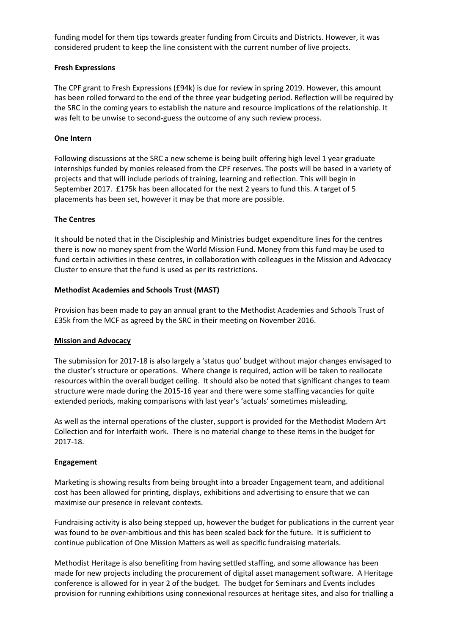funding model for them tips towards greater funding from Circuits and Districts. However, it was considered prudent to keep the line consistent with the current number of live projects.

## **Fresh Expressions**

The CPF grant to Fresh Expressions (£94k) is due for review in spring 2019. However, this amount has been rolled forward to the end of the three year budgeting period. Reflection will be required by the SRC in the coming years to establish the nature and resource implications of the relationship. It was felt to be unwise to second-guess the outcome of any such review process.

## **One Intern**

Following discussions at the SRC a new scheme is being built offering high level 1 year graduate internships funded by monies released from the CPF reserves. The posts will be based in a variety of projects and that will include periods of training, learning and reflection. This will begin in September 2017. £175k has been allocated for the next 2 years to fund this. A target of 5 placements has been set, however it may be that more are possible.

## **The Centres**

It should be noted that in the Discipleship and Ministries budget expenditure lines for the centres there is now no money spent from the World Mission Fund. Money from this fund may be used to fund certain activities in these centres, in collaboration with colleagues in the Mission and Advocacy Cluster to ensure that the fund is used as per its restrictions.

## **Methodist Academies and Schools Trust (MAST)**

Provision has been made to pay an annual grant to the Methodist Academies and Schools Trust of £35k from the MCF as agreed by the SRC in their meeting on November 2016.

#### **Mission and Advocacy**

The submission for 2017-18 is also largely a 'status quo' budget without major changes envisaged to the cluster's structure or operations. Where change is required, action will be taken to reallocate resources within the overall budget ceiling. It should also be noted that significant changes to team structure were made during the 2015-16 year and there were some staffing vacancies for quite extended periods, making comparisons with last year's 'actuals' sometimes misleading.

As well as the internal operations of the cluster, support is provided for the Methodist Modern Art Collection and for Interfaith work. There is no material change to these items in the budget for 2017-18.

#### **Engagement**

Marketing is showing results from being brought into a broader Engagement team, and additional cost has been allowed for printing, displays, exhibitions and advertising to ensure that we can maximise our presence in relevant contexts.

Fundraising activity is also being stepped up, however the budget for publications in the current year was found to be over-ambitious and this has been scaled back for the future. It is sufficient to continue publication of One Mission Matters as well as specific fundraising materials.

Methodist Heritage is also benefiting from having settled staffing, and some allowance has been made for new projects including the procurement of digital asset management software. A Heritage conference is allowed for in year 2 of the budget. The budget for Seminars and Events includes provision for running exhibitions using connexional resources at heritage sites, and also for trialling a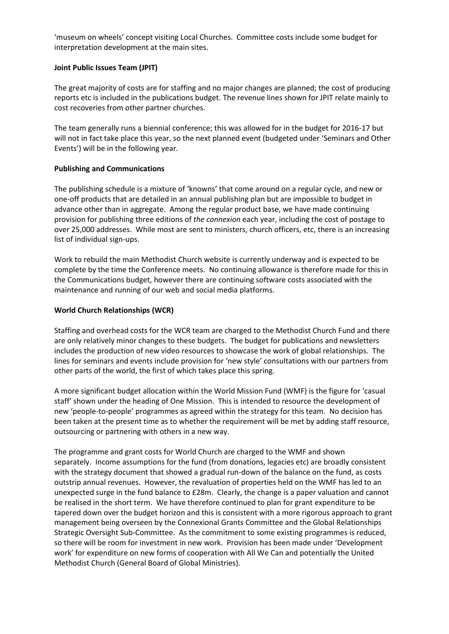'museum on wheels' concept visiting Local Churches. Committee costs include some budget for interpretation development at the main sites.

## **Joint Public Issues Team (JPIT)**

The great majority of costs are for staffing and no major changes are planned; the cost of producing reports etc is included in the publications budget. The revenue lines shown for JPIT relate mainly to cost recoveries from other partner churches.

The team generally runs a biennial conference; this was allowed for in the budget for 2016-17 but will not in fact take place this year, so the next planned event (budgeted under 'Seminars and Other Events') will be in the following year.

## **Publishing and Communications**

The publishing schedule is a mixture of 'knowns' that come around on a regular cycle, and new or one-off products that are detailed in an annual publishing plan but are impossible to budget in advance other than in aggregate. Among the regular product base, we have made continuing provision for publishing three editions of *the connexion* each year, including the cost of postage to over 25,000 addresses. While most are sent to ministers, church officers, etc, there is an increasing list of individual sign-ups.

Work to rebuild the main Methodist Church website is currently underway and is expected to be complete by the time the Conference meets. No continuing allowance is therefore made for this in the Communications budget, however there are continuing software costs associated with the maintenance and running of our web and social media platforms.

## **World Church Relationships (WCR)**

Staffing and overhead costs for the WCR team are charged to the Methodist Church Fund and there are only relatively minor changes to these budgets. The budget for publications and newsletters includes the production of new video resources to showcase the work of global relationships. The lines for seminars and events include provision for 'new style' consultations with our partners from other parts of the world, the first of which takes place this spring.

A more significant budget allocation within the World Mission Fund (WMF) is the figure for 'casual staff' shown under the heading of One Mission. This is intended to resource the development of new 'people-to-people' programmes as agreed within the strategy for this team. No decision has been taken at the present time as to whether the requirement will be met by adding staff resource, outsourcing or partnering with others in a new way.

The programme and grant costs for World Church are charged to the WMF and shown separately. Income assumptions for the fund (from donations, legacies etc) are broadly consistent with the strategy document that showed a gradual run-down of the balance on the fund, as costs outstrip annual revenues. However, the revaluation of properties held on the WMF has led to an unexpected surge in the fund balance to £28m. Clearly, the change is a paper valuation and cannot be realised in the short term. We have therefore continued to plan for grant expenditure to be tapered down over the budget horizon and this is consistent with a more rigorous approach to grant management being overseen by the Connexional Grants Committee and the Global Relationships Strategic Oversight Sub-Committee. As the commitment to some existing programmes is reduced, so there will be room for investment in new work. Provision has been made under 'Development work' for expenditure on new forms of cooperation with All We Can and potentially the United Methodist Church (General Board of Global Ministries).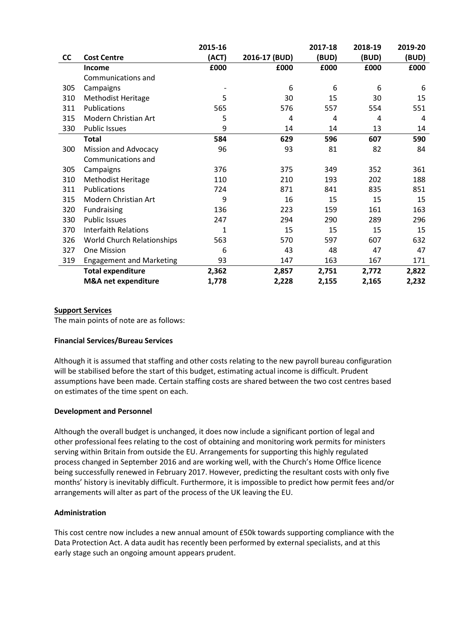|     |                                 | 2015-16 |               | 2017-18 | 2018-19 | 2019-20 |
|-----|---------------------------------|---------|---------------|---------|---------|---------|
| cc  | <b>Cost Centre</b>              | (ACT)   | 2016-17 (BUD) | (BUD)   | (BUD)   | (BUD)   |
|     | <b>Income</b>                   | £000    | £000          | £000    | £000    | £000    |
|     | Communications and              |         |               |         |         |         |
| 305 | Campaigns                       |         | 6             | 6       | 6       | 6       |
| 310 | <b>Methodist Heritage</b>       | 5       | 30            | 15      | 30      | 15      |
| 311 | <b>Publications</b>             | 565     | 576           | 557     | 554     | 551     |
| 315 | Modern Christian Art            | 5       | 4             | 4       | 4       | 4       |
| 330 | <b>Public Issues</b>            | 9       | 14            | 14      | 13      | 14      |
|     | <b>Total</b>                    | 584     | 629           | 596     | 607     | 590     |
| 300 | <b>Mission and Advocacy</b>     | 96      | 93            | 81      | 82      | 84      |
|     | Communications and              |         |               |         |         |         |
| 305 | Campaigns                       | 376     | 375           | 349     | 352     | 361     |
| 310 | <b>Methodist Heritage</b>       | 110     | 210           | 193     | 202     | 188     |
| 311 | Publications                    | 724     | 871           | 841     | 835     | 851     |
| 315 | Modern Christian Art            | 9       | 16            | 15      | 15      | 15      |
| 320 | Fundraising                     | 136     | 223           | 159     | 161     | 163     |
| 330 | <b>Public Issues</b>            | 247     | 294           | 290     | 289     | 296     |
| 370 | <b>Interfaith Relations</b>     | 1       | 15            | 15      | 15      | 15      |
| 326 | World Church Relationships      | 563     | 570           | 597     | 607     | 632     |
| 327 | One Mission                     | 6       | 43            | 48      | 47      | 47      |
| 319 | <b>Engagement and Marketing</b> | 93      | 147           | 163     | 167     | 171     |
|     | <b>Total expenditure</b>        | 2,362   | 2,857         | 2,751   | 2,772   | 2,822   |
|     | M&A net expenditure             | 1,778   | 2,228         | 2,155   | 2,165   | 2,232   |

#### **Support Services**

The main points of note are as follows:

#### **Financial Services/Bureau Services**

Although it is assumed that staffing and other costs relating to the new payroll bureau configuration will be stabilised before the start of this budget, estimating actual income is difficult. Prudent assumptions have been made. Certain staffing costs are shared between the two cost centres based on estimates of the time spent on each.

#### **Development and Personnel**

Although the overall budget is unchanged, it does now include a significant portion of legal and other professional fees relating to the cost of obtaining and monitoring work permits for ministers serving within Britain from outside the EU. Arrangements for supporting this highly regulated process changed in September 2016 and are working well, with the Church's Home Office licence being successfully renewed in February 2017. However, predicting the resultant costs with only five months' history is inevitably difficult. Furthermore, it is impossible to predict how permit fees and/or arrangements will alter as part of the process of the UK leaving the EU.

#### **Administration**

This cost centre now includes a new annual amount of £50k towards supporting compliance with the Data Protection Act. A data audit has recently been performed by external specialists, and at this early stage such an ongoing amount appears prudent.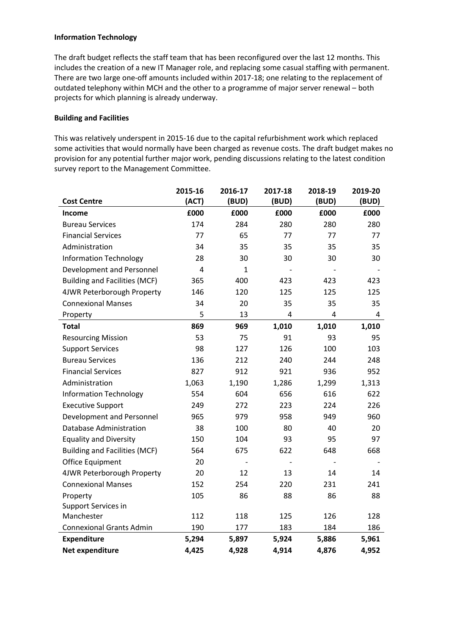## **Information Technology**

The draft budget reflects the staff team that has been reconfigured over the last 12 months. This includes the creation of a new IT Manager role, and replacing some casual staffing with permanent. There are two large one-off amounts included within 2017-18; one relating to the replacement of outdated telephony within MCH and the other to a programme of major server renewal – both projects for which planning is already underway.

## **Building and Facilities**

This was relatively underspent in 2015-16 due to the capital refurbishment work which replaced some activities that would normally have been charged as revenue costs. The draft budget makes no provision for any potential further major work, pending discussions relating to the latest condition survey report to the Management Committee.

|                                      | 2015-16        | 2016-17      | 2017-18        | 2018-19                  | 2019-20 |
|--------------------------------------|----------------|--------------|----------------|--------------------------|---------|
| <b>Cost Centre</b>                   | (ACT)          | (BUD)        | (BUD)          | (BUD)                    | (BUD)   |
| <b>Income</b>                        | £000           | £000         | £000           | £000                     | £000    |
| <b>Bureau Services</b>               | 174            | 284          | 280            | 280                      | 280     |
| <b>Financial Services</b>            | 77             | 65           | 77             | 77                       | 77      |
| Administration                       | 34             | 35           | 35             | 35                       | 35      |
| <b>Information Technology</b>        | 28             | 30           | 30             | 30                       | 30      |
| Development and Personnel            | $\overline{4}$ | $\mathbf{1}$ |                |                          |         |
| <b>Building and Facilities (MCF)</b> | 365            | 400          | 423            | 423                      | 423     |
| 4JWR Peterborough Property           | 146            | 120          | 125            | 125                      | 125     |
| <b>Connexional Manses</b>            | 34             | 20           | 35             | 35                       | 35      |
| Property                             | 5              | 13           | 4              | 4                        | 4       |
| <b>Total</b>                         | 869            | 969          | 1,010          | 1,010                    | 1,010   |
| <b>Resourcing Mission</b>            | 53             | 75           | 91             | 93                       | 95      |
| <b>Support Services</b>              | 98             | 127          | 126            | 100                      | 103     |
| <b>Bureau Services</b>               | 136            | 212          | 240            | 244                      | 248     |
| <b>Financial Services</b>            | 827            | 912          | 921            | 936                      | 952     |
| Administration                       | 1,063          | 1,190        | 1,286          | 1,299                    | 1,313   |
| <b>Information Technology</b>        | 554            | 604          | 656            | 616                      | 622     |
| <b>Executive Support</b>             | 249            | 272          | 223            | 224                      | 226     |
| Development and Personnel            | 965            | 979          | 958            | 949                      | 960     |
| Database Administration              | 38             | 100          | 80             | 40                       | 20      |
| <b>Equality and Diversity</b>        | 150            | 104          | 93             | 95                       | 97      |
| <b>Building and Facilities (MCF)</b> | 564            | 675          | 622            | 648                      | 668     |
| Office Equipment                     | 20             |              | $\overline{a}$ | $\overline{\phantom{a}}$ |         |
| 4JWR Peterborough Property           | 20             | 12           | 13             | 14                       | 14      |
| <b>Connexional Manses</b>            | 152            | 254          | 220            | 231                      | 241     |
| Property                             | 105            | 86           | 88             | 86                       | 88      |
| Support Services in                  |                |              |                |                          |         |
| Manchester                           | 112            | 118          | 125            | 126                      | 128     |
| <b>Connexional Grants Admin</b>      | 190            | 177          | 183            | 184                      | 186     |
| <b>Expenditure</b>                   | 5,294          | 5,897        | 5,924          | 5,886                    | 5,961   |
| Net expenditure                      | 4,425          | 4,928        | 4,914          | 4,876                    | 4,952   |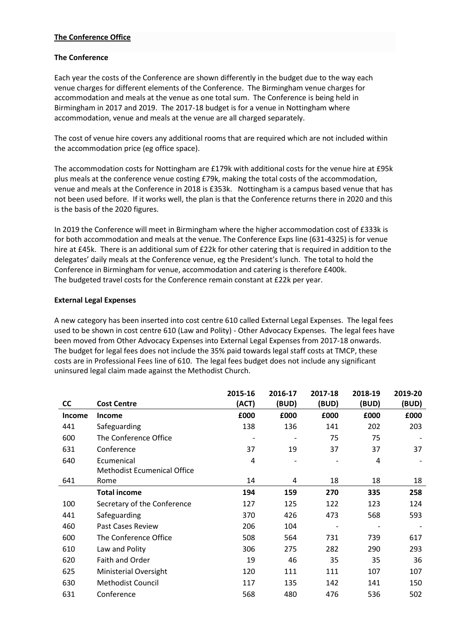## **The Conference Office**

## **The Conference**

Each year the costs of the Conference are shown differently in the budget due to the way each venue charges for different elements of the Conference. The Birmingham venue charges for accommodation and meals at the venue as one total sum. The Conference is being held in Birmingham in 2017 and 2019. The 2017-18 budget is for a venue in Nottingham where accommodation, venue and meals at the venue are all charged separately.

The cost of venue hire covers any additional rooms that are required which are not included within the accommodation price (eg office space).

The accommodation costs for Nottingham are £179k with additional costs for the venue hire at £95k plus meals at the conference venue costing £79k, making the total costs of the accommodation, venue and meals at the Conference in 2018 is £353k. Nottingham is a campus based venue that has not been used before. If it works well, the plan is that the Conference returns there in 2020 and this is the basis of the 2020 figures.

In 2019 the Conference will meet in Birmingham where the higher accommodation cost of £333k is for both accommodation and meals at the venue. The Conference Exps line (631-4325) is for venue hire at £45k. There is an additional sum of £22k for other catering that is required in addition to the delegates' daily meals at the Conference venue, eg the President's lunch. The total to hold the Conference in Birmingham for venue, accommodation and catering is therefore £400k. The budgeted travel costs for the Conference remain constant at £22k per year.

## **External Legal Expenses**

A new category has been inserted into cost centre 610 called External Legal Expenses. The legal fees used to be shown in cost centre 610 (Law and Polity) - Other Advocacy Expenses. The legal fees have been moved from Other Advocacy Expenses into External Legal Expenses from 2017-18 onwards. The budget for legal fees does not include the 35% paid towards legal staff costs at TMCP, these costs are in Professional Fees line of 610. The legal fees budget does not include any significant uninsured legal claim made against the Methodist Church.

|               |                                    | 2015-16 | 2016-17 | 2017-18 | 2018-19 | 2019-20 |
|---------------|------------------------------------|---------|---------|---------|---------|---------|
| cc            | <b>Cost Centre</b>                 | (ACT)   | (BUD)   | (BUD)   | (BUD)   | (BUD)   |
| <b>Income</b> | <b>Income</b>                      | £000    | £000    | £000    | £000    | £000    |
| 441           | Safeguarding                       | 138     | 136     | 141     | 202     | 203     |
| 600           | The Conference Office              |         |         | 75      | 75      |         |
| 631           | Conference                         | 37      | 19      | 37      | 37      | 37      |
| 640           | Ecumenical                         | 4       |         |         | 4       |         |
|               | <b>Methodist Ecumenical Office</b> |         |         |         |         |         |
| 641           | Rome                               | 14      | 4       | 18      | 18      | 18      |
|               | <b>Total income</b>                | 194     | 159     | 270     | 335     | 258     |
| 100           | Secretary of the Conference        | 127     | 125     | 122     | 123     | 124     |
| 441           | Safeguarding                       | 370     | 426     | 473     | 568     | 593     |
| 460           | Past Cases Review                  | 206     | 104     |         |         |         |
| 600           | The Conference Office              | 508     | 564     | 731     | 739     | 617     |
| 610           | Law and Polity                     | 306     | 275     | 282     | 290     | 293     |
| 620           | Faith and Order                    | 19      | 46      | 35      | 35      | 36      |
| 625           | <b>Ministerial Oversight</b>       | 120     | 111     | 111     | 107     | 107     |
| 630           | <b>Methodist Council</b>           | 117     | 135     | 142     | 141     | 150     |
| 631           | Conference                         | 568     | 480     | 476     | 536     | 502     |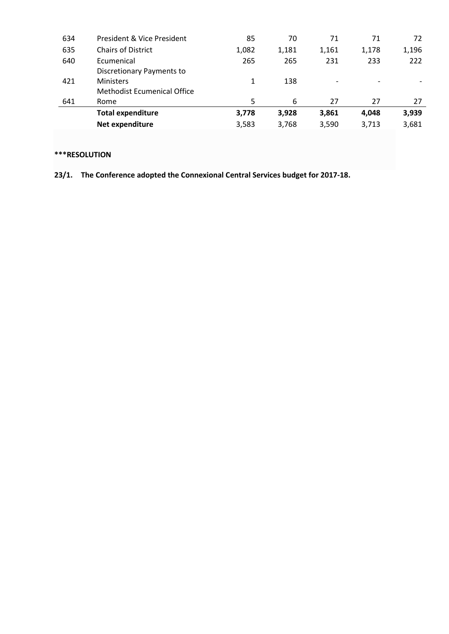| 634 | President & Vice President  | 85    | 70    | 71    | 71                       | 72    |
|-----|-----------------------------|-------|-------|-------|--------------------------|-------|
| 635 | <b>Chairs of District</b>   | 1,082 | 1,181 | 1,161 | 1,178                    | 1,196 |
| 640 | Ecumenical                  | 265   | 265   | 231   | 233                      | 222   |
|     | Discretionary Payments to   |       |       |       |                          |       |
| 421 | <b>Ministers</b>            | 1     | 138   |       | $\overline{\phantom{a}}$ |       |
|     | Methodist Ecumenical Office |       |       |       |                          |       |
| 641 | Rome                        | 5.    | 6     | 27    | 27                       | 27    |
|     | <b>Total expenditure</b>    | 3,778 | 3,928 | 3,861 | 4,048                    | 3,939 |
|     | Net expenditure             | 3,583 | 3,768 | 3,590 | 3,713                    | 3,681 |
|     |                             |       |       |       |                          |       |

## **\*\*\*RESOLUTION**

**23/1. The Conference adopted the Connexional Central Services budget for 2017-18.**